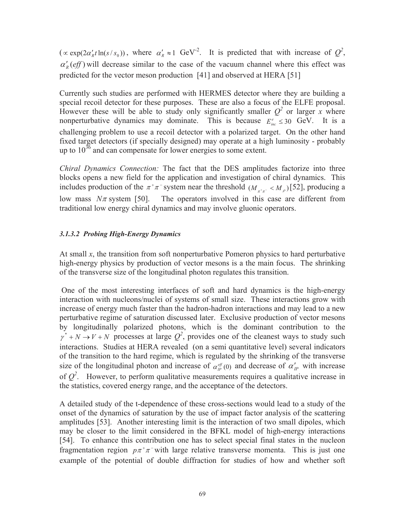$(\propto \exp(2\alpha'_{R}t\ln(s/s_0))$ , where  $\alpha'_{R} \approx 1$  GeV<sup>-2</sup>. It is predicted that with increase of  $Q^2$ ,  $\alpha'_{R}(eff)$  will decrease similar to the case of the vacuum channel where this effect was predicted for the vector meson production [41] and observed at HERA [51]

Currently such studies are performed with HERMES detector where they are building a special recoil detector for these purposes. These are also a focus of the ELFE proposal. However these will be able to study only significantly smaller  $Q^2$  or larger *x* where nonperturbative dynamics may dominate. This is because  $E_{inc}^e \leq 30$  GeV. It is a challenging problem to use a recoil detector with a polarized target. On the other hand fixed target detectors (if specially designed) may operate at a high luminosity - probably up to  $10^{36}$  and can compensate for lower energies to some extent.

*Chiral Dynamics Connection:* The fact that the DES amplitudes factorize into three blocks opens a new field for the application and investigation of chiral dynamics. This includes production of the  $\pi^+\pi^-$  system near the threshold  $(M_{\pi^+\pi^-} < M_{\rho})$  [52], producing a low mass  $N\pi$  system [50]. The operators involved in this case are different from traditional low energy chiral dynamics and may involve gluonic operators.

#### *3.1.3.2 Probing High-Energy Dynamics*

At small *x*, the transition from soft nonperturbative Pomeron physics to hard perturbative high-energy physics by production of vector mesons is a the main focus. The shrinking of the transverse size of the longitudinal photon regulates this transition.

 One of the most interesting interfaces of soft and hard dynamics is the high-energy interaction with nucleons/nuclei of systems of small size. These interactions grow with increase of energy much faster than the hadron-hadron interactions and may lead to a new perturbative regime of saturation discussed later. Exclusive production of vector mesons by longitudinally polarized photons, which is the dominant contribution to the  $\gamma^*$  + *N* → *V* + *N* processes at large  $Q^2$ , provides one of the cleanest ways to study such interactions. Studies at HERA revealed (on a semi quantitative level) several indicators of the transition to the hard regime, which is regulated by the shrinking of the transverse size of the longitudinal photon and increase of  $\alpha_{IP}^{ef}(0)$  and decrease of  $\alpha_{IP}$  with increase of  $Q^2$ . However, to perform qualitative measurements requires a qualitative increase in the statistics, covered energy range, and the acceptance of the detectors.

A detailed study of the t-dependence of these cross-sections would lead to a study of the onset of the dynamics of saturation by the use of impact factor analysis of the scattering amplitudes [53]. Another interesting limit is the interaction of two small dipoles, which may be closer to the limit considered in the BFKL model of high-energy interactions [54]. To enhance this contribution one has to select special final states in the nucleon fragmentation region  $p\pi^+\pi^-$  with large relative transverse momenta. This is just one example of the potential of double diffraction for studies of how and whether soft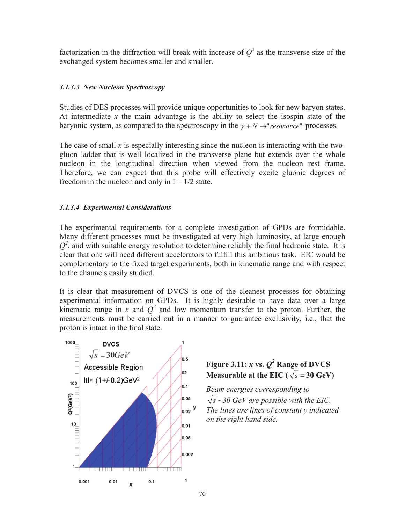factorization in the diffraction will break with increase of  $Q^2$  as the transverse size of the exchanged system becomes smaller and smaller.

## *3.1.3.3 New Nucleon Spectroscopy*

Studies of DES processes will provide unique opportunities to look for new baryon states. At intermediate *x* the main advantage is the ability to select the isospin state of the baryonic system, as compared to the spectroscopy in the  $\gamma + N \rightarrow "resonance"$  processes.

The case of small *x* is especially interesting since the nucleon is interacting with the twogluon ladder that is well localized in the transverse plane but extends over the whole nucleon in the longitudinal direction when viewed from the nucleon rest frame. Therefore, we can expect that this probe will effectively excite gluonic degrees of freedom in the nucleon and only in  $I = 1/2$  state.

## *3.1.3.4 Experimental Considerations*

The experimental requirements for a complete investigation of GPDs are formidable. Many different processes must be investigated at very high luminosity, at large enough  $Q<sup>2</sup>$ , and with suitable energy resolution to determine reliably the final hadronic state. It is clear that one will need different accelerators to fulfill this ambitious task. EIC would be complementary to the fixed target experiments, both in kinematic range and with respect to the channels easily studied.

It is clear that measurement of DVCS is one of the cleanest processes for obtaining experimental information on GPDs. It is highly desirable to have data over a large kinematic range in *x* and  $Q^2$  and low momentum transfer to the proton. Further, the measurements must be carried out in a manner to guarantee exclusivity, i.e., that the proton is intact in the final state.



# **Figure 3.11:**  $x$  vs.  $Q^2$  **Range of DVCS Measurable at the EIC (** $\sqrt{s} = 30$  GeV)

*Beam energies corresponding to*   $\sqrt{s} \sim 30$  GeV are possible with the EIC. *The lines are lines of constant y indicated on the right hand side.*